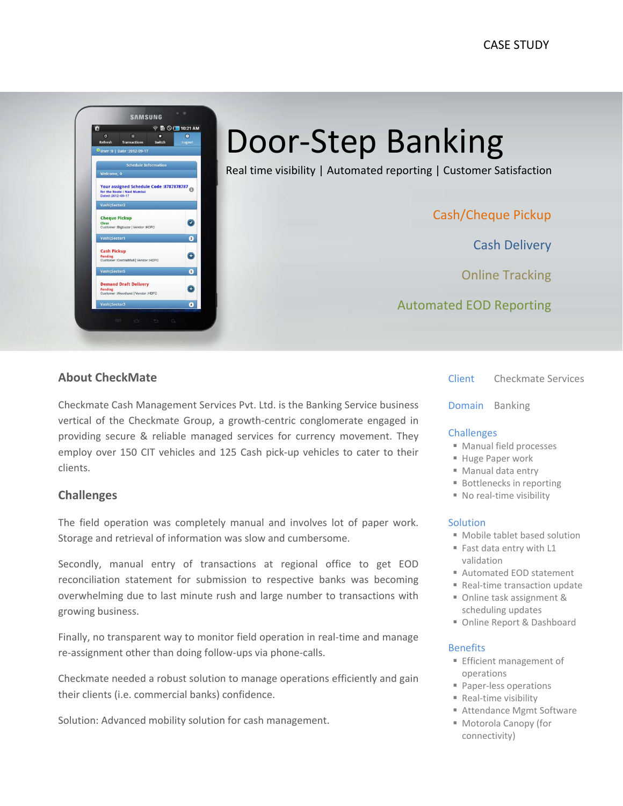

Door‐Step Banking

Real time visibility | Automated reporting | Customer Satisfaction

Cash/Cheque Pickup

Cash Delivery

Online Tracking

Automated EOD Reporting

### **About CheckMate**

Checkmate Cash Management Services Pvt. Ltd. is the Banking Service business vertical of the Checkmate Group, a growth‐centric conglomerate engaged in providing secure & reliable managed services for currency movement. They employ over 150 CIT vehicles and 125 Cash pick‐up vehicles to cater to their clients.

### **Challenges**

The field operation was completely manual and involves lot of paper work. Storage and retrieval of information was slow and cumbersome.

Secondly, manual entry of transactions at regional office to get EOD reconciliation statement for submission to respective banks was becoming overwhelming due to last minute rush and large number to transactions with growing business.

Finally, no transparent way to monitor field operation in real-time and manage re‐assignment other than doing follow‐ups via phone‐calls.

 Checkmate needed a robust solution to manage operations efficiently and gain their clients (i.e. commercial banks) confidence.

Solution: Advanced mobility solution for cash management.

Client Checkmate Services

Domain Banking

#### **Challenges**

- Manual field processes
- Huge Paper work
- Manual data entry
- Bottlenecks in reporting
- No real-time visibility

#### Solution

- Mobile tablet based solution
- Fast data entry with L1 validation
- Automated EOD statement
- Real-time transaction update
- Online task assignment & scheduling updates
- Online Report & Dashboard

#### Benefits

- **Efficient management of** operations
- Paper-less operations
- Real-time visibility
- Attendance Mgmt Software
- Motorola Canopy (for connectivity)